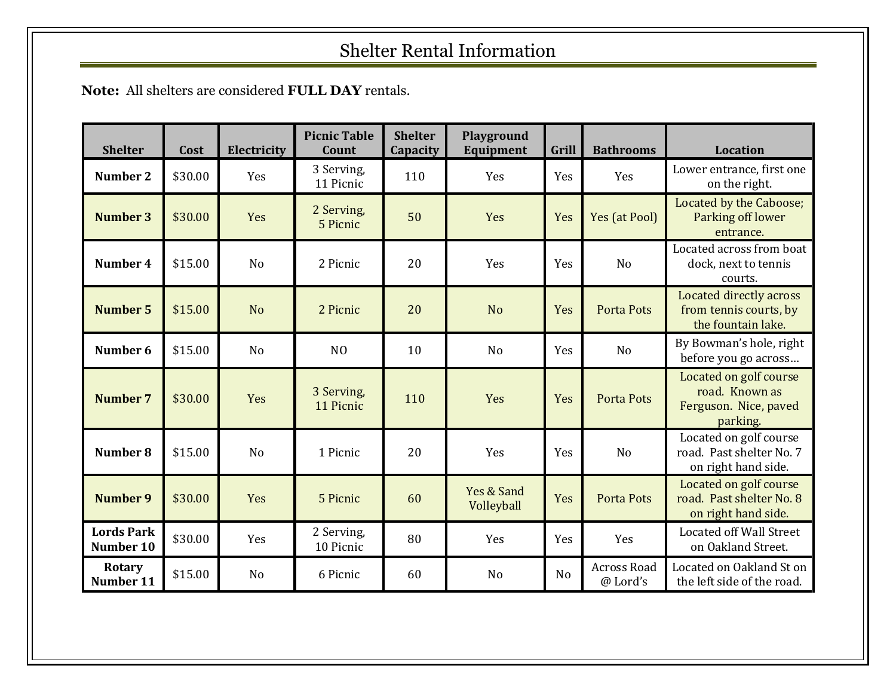## Shelter Rental Information

**Note:** All shelters are considered **FULL DAY** rentals.

| <b>Shelter</b>                 | Cost    | Electricity    | <b>Picnic Table</b><br>Count | <b>Shelter</b><br>Capacity | Playground<br>Equipment  | Grill          | <b>Bathrooms</b>               | <b>Location</b>                                                               |
|--------------------------------|---------|----------------|------------------------------|----------------------------|--------------------------|----------------|--------------------------------|-------------------------------------------------------------------------------|
| Number 2                       | \$30.00 | Yes            | 3 Serving,<br>11 Picnic      | 110                        | Yes                      | Yes            | Yes                            | Lower entrance, first one<br>on the right.                                    |
| <b>Number 3</b>                | \$30.00 | Yes            | 2 Serving,<br>5 Picnic       | 50                         | Yes                      | Yes            | Yes (at Pool)                  | Located by the Caboose;<br>Parking off lower<br>entrance.                     |
| Number 4                       | \$15.00 | N <sub>o</sub> | 2 Picnic                     | 20                         | Yes                      | Yes            | N <sub>o</sub>                 | Located across from boat<br>dock, next to tennis<br>courts.                   |
| <b>Number 5</b>                | \$15.00 | N <sub>o</sub> | 2 Picnic                     | 20                         | <b>No</b>                | Yes            | Porta Pots                     | Located directly across<br>from tennis courts, by<br>the fountain lake.       |
| Number 6                       | \$15.00 | N <sub>o</sub> | N <sub>O</sub>               | 10                         | N <sub>o</sub>           | Yes            | N <sub>o</sub>                 | By Bowman's hole, right<br>before you go across                               |
| <b>Number 7</b>                | \$30.00 | Yes            | 3 Serving,<br>11 Picnic      | 110                        | Yes                      | Yes            | <b>Porta Pots</b>              | Located on golf course<br>road. Known as<br>Ferguson. Nice, paved<br>parking. |
| Number 8                       | \$15.00 | N <sub>o</sub> | 1 Picnic                     | 20                         | Yes                      | Yes            | N <sub>o</sub>                 | Located on golf course<br>road. Past shelter No. 7<br>on right hand side.     |
| <b>Number 9</b>                | \$30.00 | Yes            | 5 Picnic                     | 60                         | Yes & Sand<br>Volleyball | Yes            | <b>Porta Pots</b>              | Located on golf course<br>road. Past shelter No. 8<br>on right hand side.     |
| <b>Lords Park</b><br>Number 10 | \$30.00 | Yes            | 2 Serving,<br>10 Picnic      | 80                         | Yes                      | Yes            | Yes                            | <b>Located off Wall Street</b><br>on Oakland Street.                          |
| Rotary<br>Number 11            | \$15.00 | N <sub>o</sub> | 6 Picnic                     | 60                         | N <sub>o</sub>           | N <sub>o</sub> | <b>Across Road</b><br>@ Lord's | Located on Oakland St on<br>the left side of the road.                        |